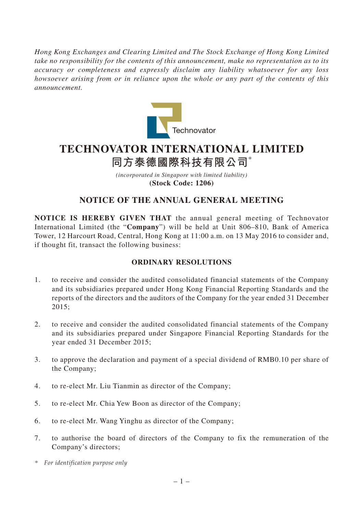*Hong Kong Exchanges and Clearing Limited and The Stock Exchange of Hong Kong Limited take no responsibility for the contents of this announcement, make no representation as to its accuracy or completeness and expressly disclaim any liability whatsoever for any loss howsoever arising from or in reliance upon the whole or any part of the contents of this announcement.*



# **TECHNOVATOR INTERNATIONAL LIMITED 同方泰德國際科技有限公司**\*

*(incorporated in Singapore with limited liability)* **(Stock Code: 1206)**

## **NOTICE OF THE ANNUAL GENERAL MEETING**

**NOTICE IS HEREBY GIVEN THAT** the annual general meeting of Technovator International Limited (the "**Company**") will be held at Unit 806–810, Bank of America Tower, 12 Harcourt Road, Central, Hong Kong at 11:00 a.m. on 13 May 2016 to consider and, if thought fit, transact the following business:

### **ORDINARY RESOLUTIONS**

- 1. to receive and consider the audited consolidated financial statements of the Company and its subsidiaries prepared under Hong Kong Financial Reporting Standards and the reports of the directors and the auditors of the Company for the year ended 31 December 2015;
- 2. to receive and consider the audited consolidated financial statements of the Company and its subsidiaries prepared under Singapore Financial Reporting Standards for the year ended 31 December 2015;
- 3. to approve the declaration and payment of a special dividend of RMB0.10 per share of the Company;
- 4. to re-elect Mr. Liu Tianmin as director of the Company;
- 5. to re-elect Mr. Chia Yew Boon as director of the Company;
- 6. to re-elect Mr. Wang Yinghu as director of the Company;
- 7. to authorise the board of directors of the Company to fix the remuneration of the Company's directors;
- *\* For identification purpose only*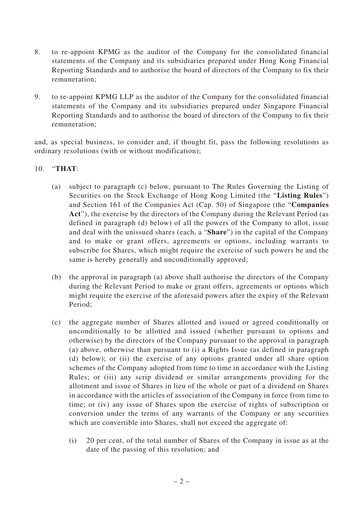- 8. to re-appoint KPMG as the auditor of the Company for the consolidated financial statements of the Company and its subsidiaries prepared under Hong Kong Financial Reporting Standards and to authorise the board of directors of the Company to fix their remuneration;
- 9. to re-appoint KPMG LLP as the auditor of the Company for the consolidated financial statements of the Company and its subsidiaries prepared under Singapore Financial Reporting Standards and to authorise the board of directors of the Company to fix their remuneration;

and, as special business, to consider and, if thought fit, pass the following resolutions as ordinary resolutions (with or without modification);

#### 10. "**THAT**:

- (a) subject to paragraph (c) below, pursuant to The Rules Governing the Listing of Securities on the Stock Exchange of Hong Kong Limited (the "**Listing Rules**") and Section 161 of the Companies Act (Cap. 50) of Singapore (the "**Companies Act**"), the exercise by the directors of the Company during the Relevant Period (as defined in paragraph (d) below) of all the powers of the Company to allot, issue and deal with the unissued shares (each, a "**Share**") in the capital of the Company and to make or grant offers, agreements or options, including warrants to subscribe for Shares, which might require the exercise of such powers be and the same is hereby generally and unconditionally approved;
- (b) the approval in paragraph (a) above shall authorise the directors of the Company during the Relevant Period to make or grant offers, agreements or options which might require the exercise of the aforesaid powers after the expiry of the Relevant Period;
- (c) the aggregate number of Shares allotted and issued or agreed conditionally or unconditionally to be allotted and issued (whether pursuant to options and otherwise) by the directors of the Company pursuant to the approval in paragraph (a) above, otherwise than pursuant to (i) a Rights Issue (as defined in paragraph (d) below); or (ii) the exercise of any options granted under all share option schemes of the Company adopted from time to time in accordance with the Listing Rules; or (iii) any scrip dividend or similar arrangements providing for the allotment and issue of Shares in lieu of the whole or part of a dividend on Shares in accordance with the articles of association of the Company in force from time to time; or (iv) any issue of Shares upon the exercise of rights of subscription or conversion under the terms of any warrants of the Company or any securities which are convertible into Shares, shall not exceed the aggregate of:
	- (i) 20 per cent, of the total number of Shares of the Company in issue as at the date of the passing of this resolution; and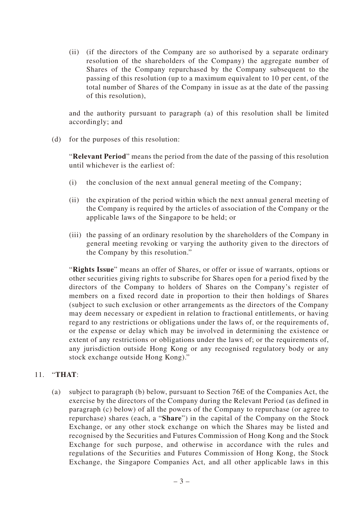(ii) (if the directors of the Company are so authorised by a separate ordinary resolution of the shareholders of the Company) the aggregate number of Shares of the Company repurchased by the Company subsequent to the passing of this resolution (up to a maximum equivalent to 10 per cent, of the total number of Shares of the Company in issue as at the date of the passing of this resolution),

and the authority pursuant to paragraph (a) of this resolution shall be limited accordingly; and

(d) for the purposes of this resolution:

"**Relevant Period**" means the period from the date of the passing of this resolution until whichever is the earliest of:

- (i) the conclusion of the next annual general meeting of the Company;
- (ii) the expiration of the period within which the next annual general meeting of the Company is required by the articles of association of the Company or the applicable laws of the Singapore to be held; or
- (iii) the passing of an ordinary resolution by the shareholders of the Company in general meeting revoking or varying the authority given to the directors of the Company by this resolution."

"**Rights Issue**" means an offer of Shares, or offer or issue of warrants, options or other securities giving rights to subscribe for Shares open for a period fixed by the directors of the Company to holders of Shares on the Company's register of members on a fixed record date in proportion to their then holdings of Shares (subject to such exclusion or other arrangements as the directors of the Company may deem necessary or expedient in relation to fractional entitlements, or having regard to any restrictions or obligations under the laws of, or the requirements of, or the expense or delay which may be involved in determining the existence or extent of any restrictions or obligations under the laws of; or the requirements of, any jurisdiction outside Hong Kong or any recognised regulatory body or any stock exchange outside Hong Kong)."

### 11. "**THAT**:

(a) subject to paragraph (b) below, pursuant to Section 76E of the Companies Act, the exercise by the directors of the Company during the Relevant Period (as defined in paragraph (c) below) of all the powers of the Company to repurchase (or agree to repurchase) shares (each, a "**Share**") in the capital of the Company on the Stock Exchange, or any other stock exchange on which the Shares may be listed and recognised by the Securities and Futures Commission of Hong Kong and the Stock Exchange for such purpose, and otherwise in accordance with the rules and regulations of the Securities and Futures Commission of Hong Kong, the Stock Exchange, the Singapore Companies Act, and all other applicable laws in this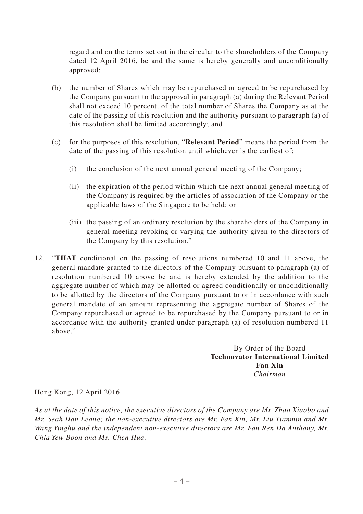regard and on the terms set out in the circular to the shareholders of the Company dated 12 April 2016, be and the same is hereby generally and unconditionally approved;

- (b) the number of Shares which may be repurchased or agreed to be repurchased by the Company pursuant to the approval in paragraph (a) during the Relevant Period shall not exceed 10 percent, of the total number of Shares the Company as at the date of the passing of this resolution and the authority pursuant to paragraph (a) of this resolution shall be limited accordingly; and
- (c) for the purposes of this resolution, "**Relevant Period**" means the period from the date of the passing of this resolution until whichever is the earliest of:
	- (i) the conclusion of the next annual general meeting of the Company;
	- (ii) the expiration of the period within which the next annual general meeting of the Company is required by the articles of association of the Company or the applicable laws of the Singapore to be held; or
	- (iii) the passing of an ordinary resolution by the shareholders of the Company in general meeting revoking or varying the authority given to the directors of the Company by this resolution."
- 12. "**THAT** conditional on the passing of resolutions numbered 10 and 11 above, the general mandate granted to the directors of the Company pursuant to paragraph (a) of resolution numbered 10 above be and is hereby extended by the addition to the aggregate number of which may be allotted or agreed conditionally or unconditionally to be allotted by the directors of the Company pursuant to or in accordance with such general mandate of an amount representing the aggregate number of Shares of the Company repurchased or agreed to be repurchased by the Company pursuant to or in accordance with the authority granted under paragraph (a) of resolution numbered 11 above."

By Order of the Board **Technovator International Limited Fan Xin** *Chairman*

Hong Kong, 12 April 2016

*As at the date of this notice, the executive directors of the Company are Mr. Zhao Xiaobo and Mr. Seah Han Leong; the non-executive directors are Mr. Fan Xin, Mr. Liu Tianmin and Mr. Wang Yinghu and the independent non-executive directors are Mr. Fan Ren Da Anthony, Mr. Chia Yew Boon and Ms. Chen Hua.*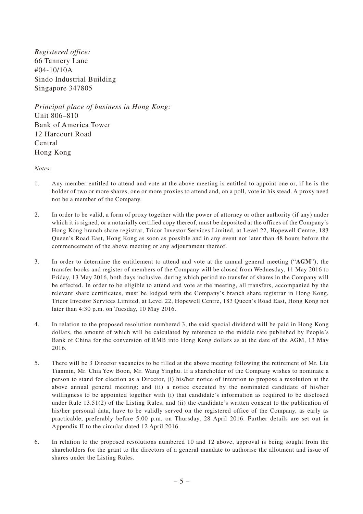*Registered office:* 66 Tannery Lane #04-10/10A Sindo Industrial Building Singapore 347805

*Principal place of business in Hong Kong:* Unit 806–810 Bank of America Tower 12 Harcourt Road Central Hong Kong

*Notes:*

- 1. Any member entitled to attend and vote at the above meeting is entitled to appoint one or, if he is the holder of two or more shares, one or more proxies to attend and, on a poll, vote in his stead. A proxy need not be a member of the Company.
- 2. In order to be valid, a form of proxy together with the power of attorney or other authority (if any) under which it is signed, or a notarially certified copy thereof, must be deposited at the offices of the Company's Hong Kong branch share registrar, Tricor Investor Services Limited, at Level 22, Hopewell Centre, 183 Queen's Road East, Hong Kong as soon as possible and in any event not later than 48 hours before the commencement of the above meeting or any adjournment thereof.
- 3. In order to determine the entitlement to attend and vote at the annual general meeting ("**AGM**"), the transfer books and register of members of the Company will be closed from Wednesday, 11 May 2016 to Friday, 13 May 2016, both days inclusive, during which period no transfer of shares in the Company will be effected. In order to be eligible to attend and vote at the meeting, all transfers, accompanied by the relevant share certificates, must be lodged with the Company's branch share registrar in Hong Kong, Tricor Investor Services Limited, at Level 22, Hopewell Centre, 183 Queen's Road East, Hong Kong not later than 4:30 p.m. on Tuesday, 10 May 2016.
- 4. In relation to the proposed resolution numbered 3, the said special dividend will be paid in Hong Kong dollars, the amount of which will be calculated by reference to the middle rate published by People's Bank of China for the conversion of RMB into Hong Kong dollars as at the date of the AGM, 13 May 2016.
- 5. There will be 3 Director vacancies to be filled at the above meeting following the retirement of Mr. Liu Tianmin, Mr. Chia Yew Boon, Mr. Wang Yinghu. If a shareholder of the Company wishes to nominate a person to stand for election as a Director, (i) his/her notice of intention to propose a resolution at the above annual general meeting; and (ii) a notice executed by the nominated candidate of his/her willingness to be appointed together with (i) that candidate's information as required to be disclosed under Rule 13.51(2) of the Listing Rules, and (ii) the candidate's written consent to the publication of his/her personal data, have to be validly served on the registered office of the Company, as early as practicable, preferably before 5:00 p.m. on Thursday, 28 April 2016. Further details are set out in Appendix II to the circular dated 12 April 2016.
- 6. In relation to the proposed resolutions numbered 10 and 12 above, approval is being sought from the shareholders for the grant to the directors of a general mandate to authorise the allotment and issue of shares under the Listing Rules.